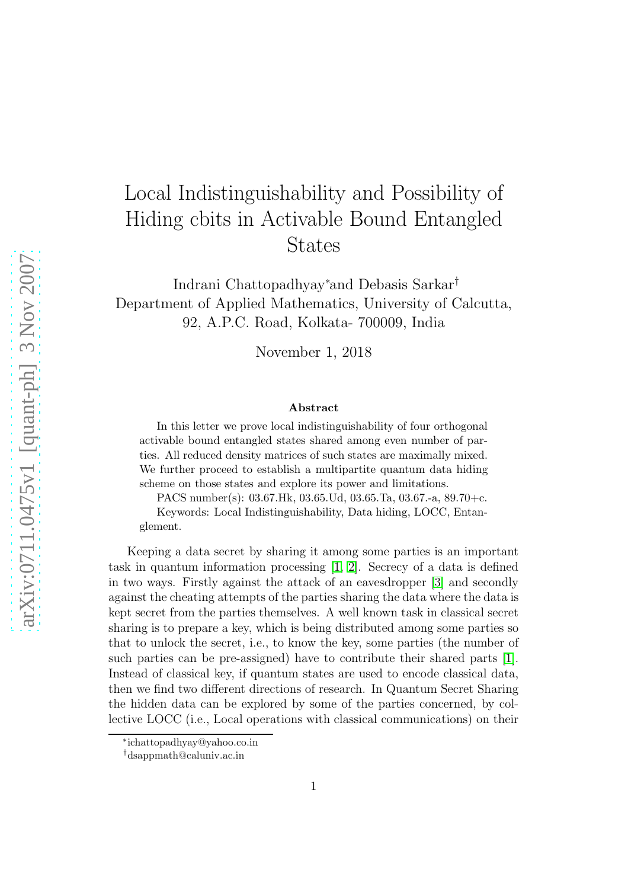## Local Indistinguishability and Possibility of Hiding cbits in Activable Bound Entangled States

Indrani Chattopadhyay<sup>∗</sup>and Debasis Sarkar† Department of Applied Mathematics, University of Calcutta, 92, A.P.C. Road, Kolkata- 700009, India

November 1, 2018

## Abstract

In this letter we prove local indistinguishability of four orthogonal activable bound entangled states shared among even number of parties. All reduced density matrices of such states are maximally mixed. We further proceed to establish a multipartite quantum data hiding scheme on those states and explore its power and limitations.

PACS number(s): 03.67.Hk, 03.65.Ud, 03.65.Ta, 03.67.-a, 89.70+c. Keywords: Local Indistinguishability, Data hiding, LOCC, Entanglement.

Keeping a data secret by sharing it among some parties is an important task in quantum information processing [\[1,](#page-8-0) [2\]](#page-8-1). Secrecy of a data is defined in two ways. Firstly against the attack of an eavesdropper [\[3\]](#page-8-2) and secondly against the cheating attempts of the parties sharing the data where the data is kept secret from the parties themselves. A well known task in classical secret sharing is to prepare a key, which is being distributed among some parties so that to unlock the secret, i.e., to know the key, some parties (the number of such parties can be pre-assigned) have to contribute their shared parts [\[1\]](#page-8-0). Instead of classical key, if quantum states are used to encode classical data, then we find two different directions of research. In Quantum Secret Sharing the hidden data can be explored by some of the parties concerned, by collective LOCC (i.e., Local operations with classical communications) on their

<sup>∗</sup> ichattopadhyay@yahoo.co.in

<sup>†</sup>dsappmath@caluniv.ac.in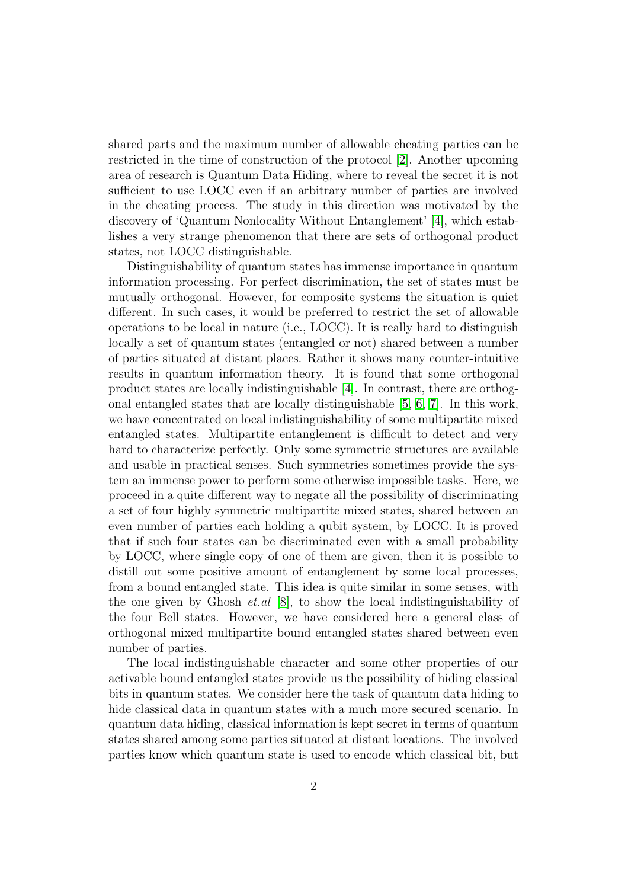shared parts and the maximum number of allowable cheating parties can be restricted in the time of construction of the protocol [\[2\]](#page-8-1). Another upcoming area of research is Quantum Data Hiding, where to reveal the secret it is not sufficient to use LOCC even if an arbitrary number of parties are involved in the cheating process. The study in this direction was motivated by the discovery of 'Quantum Nonlocality Without Entanglement' [\[4\]](#page-8-3), which establishes a very strange phenomenon that there are sets of orthogonal product states, not LOCC distinguishable.

Distinguishability of quantum states has immense importance in quantum information processing. For perfect discrimination, the set of states must be mutually orthogonal. However, for composite systems the situation is quiet different. In such cases, it would be preferred to restrict the set of allowable operations to be local in nature (i.e., LOCC). It is really hard to distinguish locally a set of quantum states (entangled or not) shared between a number of parties situated at distant places. Rather it shows many counter-intuitive results in quantum information theory. It is found that some orthogonal product states are locally indistinguishable [\[4\]](#page-8-3). In contrast, there are orthogonal entangled states that are locally distinguishable [\[5,](#page-8-4) [6,](#page-8-5) [7\]](#page-8-6). In this work, we have concentrated on local indistinguishability of some multipartite mixed entangled states. Multipartite entanglement is difficult to detect and very hard to characterize perfectly. Only some symmetric structures are available and usable in practical senses. Such symmetries sometimes provide the system an immense power to perform some otherwise impossible tasks. Here, we proceed in a quite different way to negate all the possibility of discriminating a set of four highly symmetric multipartite mixed states, shared between an even number of parties each holding a qubit system, by LOCC. It is proved that if such four states can be discriminated even with a small probability by LOCC, where single copy of one of them are given, then it is possible to distill out some positive amount of entanglement by some local processes, from a bound entangled state. This idea is quite similar in some senses, with the one given by Ghosh *et.al* [\[8\]](#page-8-7), to show the local indistinguishability of the four Bell states. However, we have considered here a general class of orthogonal mixed multipartite bound entangled states shared between even number of parties.

The local indistinguishable character and some other properties of our activable bound entangled states provide us the possibility of hiding classical bits in quantum states. We consider here the task of quantum data hiding to hide classical data in quantum states with a much more secured scenario. In quantum data hiding, classical information is kept secret in terms of quantum states shared among some parties situated at distant locations. The involved parties know which quantum state is used to encode which classical bit, but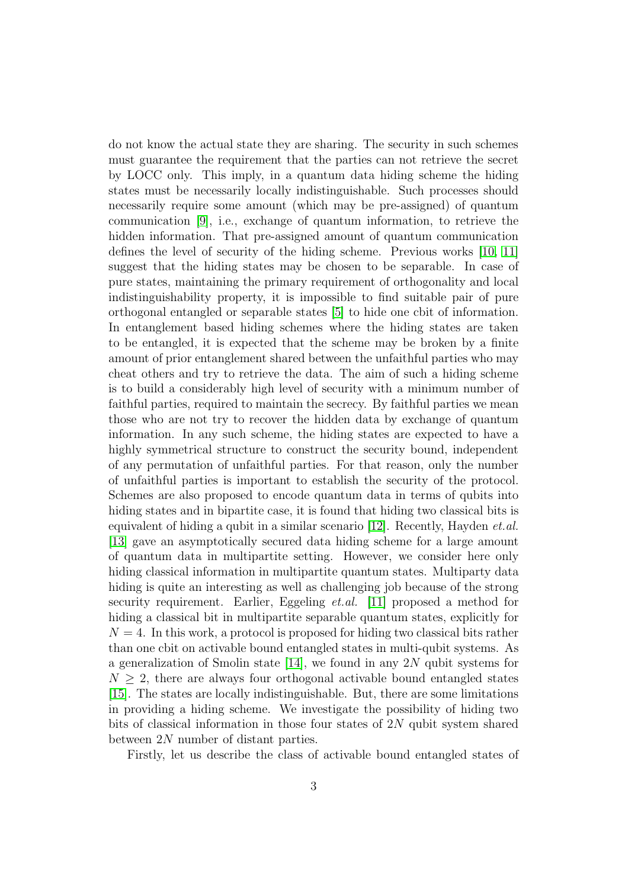do not know the actual state they are sharing. The security in such schemes must guarantee the requirement that the parties can not retrieve the secret by LOCC only. This imply, in a quantum data hiding scheme the hiding states must be necessarily locally indistinguishable. Such processes should necessarily require some amount (which may be pre-assigned) of quantum communication [\[9\]](#page-8-8), i.e., exchange of quantum information, to retrieve the hidden information. That pre-assigned amount of quantum communication defines the level of security of the hiding scheme. Previous works [\[10,](#page-8-9) [11\]](#page-9-0) suggest that the hiding states may be chosen to be separable. In case of pure states, maintaining the primary requirement of orthogonality and local indistinguishability property, it is impossible to find suitable pair of pure orthogonal entangled or separable states [\[5\]](#page-8-4) to hide one cbit of information. In entanglement based hiding schemes where the hiding states are taken to be entangled, it is expected that the scheme may be broken by a finite amount of prior entanglement shared between the unfaithful parties who may cheat others and try to retrieve the data. The aim of such a hiding scheme is to build a considerably high level of security with a minimum number of faithful parties, required to maintain the secrecy. By faithful parties we mean those who are not try to recover the hidden data by exchange of quantum information. In any such scheme, the hiding states are expected to have a highly symmetrical structure to construct the security bound, independent of any permutation of unfaithful parties. For that reason, only the number of unfaithful parties is important to establish the security of the protocol. Schemes are also proposed to encode quantum data in terms of qubits into hiding states and in bipartite case, it is found that hiding two classical bits is equivalent of hiding a qubit in a similar scenario  $[12]$ . Recently, Hayden *et.al.* [\[13\]](#page-9-2) gave an asymptotically secured data hiding scheme for a large amount of quantum data in multipartite setting. However, we consider here only hiding classical information in multipartite quantum states. Multiparty data hiding is quite an interesting as well as challenging job because of the strong security requirement. Earlier, Eggeling et.al. [\[11\]](#page-9-0) proposed a method for hiding a classical bit in multipartite separable quantum states, explicitly for  $N = 4$ . In this work, a protocol is proposed for hiding two classical bits rather than one cbit on activable bound entangled states in multi-qubit systems. As a generalization of Smolin state [\[14\]](#page-9-3), we found in any 2N qubit systems for  $N > 2$ , there are always four orthogonal activable bound entangled states [\[15\]](#page-9-4). The states are locally indistinguishable. But, there are some limitations in providing a hiding scheme. We investigate the possibility of hiding two bits of classical information in those four states of  $2N$  qubit system shared between 2N number of distant parties.

Firstly, let us describe the class of activable bound entangled states of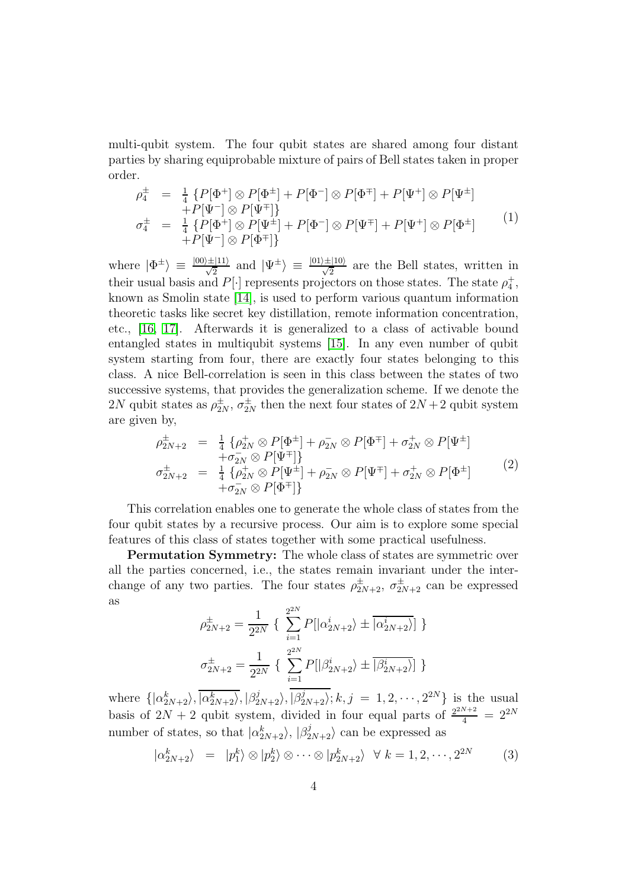multi-qubit system. The four qubit states are shared among four distant parties by sharing equiprobable mixture of pairs of Bell states taken in proper order.

<span id="page-3-1"></span>
$$
\rho_{4}^{\pm} = \frac{1}{4} \{ P[\Phi^{+}] \otimes P[\Phi^{\pm}] + P[\Phi^{-}] \otimes P[\Phi^{\mp}] + P[\Psi^{+}] \otimes P[\Psi^{\pm}] \n+ P[\Psi^{-}] \otimes P[\Psi^{\mp}] \} \n\sigma_{4}^{\pm} = \frac{1}{4} \{ P[\Phi^{+}] \otimes P[\Psi^{\pm}] + P[\Phi^{-}] \otimes P[\Psi^{\mp}] + P[\Psi^{+}] \otimes P[\Phi^{\pm}] \n+ P[\Psi^{-}] \otimes P[\Phi^{\mp}] \}
$$
\n(1)

where  $|\Phi^{\pm}\rangle \equiv \frac{|00\rangle \pm |11\rangle}{\sqrt{2}}$  and  $|\Psi^{\pm}\rangle \equiv \frac{|01\rangle \pm |10\rangle}{\sqrt{2}}$  are the Bell states, written in their usual basis and  $P[\cdot]$  represents projectors on those states. The state  $\rho_4^+$ , known as Smolin state [\[14\]](#page-9-3), is used to perform various quantum information theoretic tasks like secret key distillation, remote information concentration, etc., [\[16,](#page-9-5) [17\]](#page-9-6). Afterwards it is generalized to a class of activable bound entangled states in multiqubit systems [\[15\]](#page-9-4). In any even number of qubit system starting from four, there are exactly four states belonging to this class. A nice Bell-correlation is seen in this class between the states of two successive systems, that provides the generalization scheme. If we denote the 2N qubit states as  $\rho_{2N}^{\pm}, \sigma_{2N}^{\pm}$  then the next four states of  $2N+2$  qubit system are given by,

<span id="page-3-0"></span>
$$
\rho_{2N+2}^{\pm} = \frac{1}{4} \{ \rho_{2N}^{+} \otimes P[\Phi^{\pm}] + \rho_{2N}^{-} \otimes P[\Phi^{\mp}] + \sigma_{2N}^{+} \otimes P[\Psi^{\pm}] \n+ \sigma_{2N}^{-} \otimes P[\Psi^{\mp}] \} \n\sigma_{2N+2}^{\pm} = \frac{1}{4} \{ \rho_{2N}^{+} \otimes P[\Psi^{\pm}] + \rho_{2N}^{-} \otimes P[\Psi^{\mp}] + \sigma_{2N}^{+} \otimes P[\Phi^{\pm}] \n+ \sigma_{2N}^{-} \otimes P[\Phi^{\mp}] \}
$$
\n(2)

This correlation enables one to generate the whole class of states from the four qubit states by a recursive process. Our aim is to explore some special features of this class of states together with some practical usefulness.

Permutation Symmetry: The whole class of states are symmetric over all the parties concerned, i.e., the states remain invariant under the interchange of any two parties. The four states  $\rho_{2N+2}^{\pm}, \sigma_{2N+2}^{\pm}$  can be expressed as

$$
\rho_{2N+2}^{\pm} = \frac{1}{2^{2N}} \left\{ \sum_{i=1}^{2^{2N}} P[|\alpha_{2N+2}^{i}\rangle \pm \overline{|\alpha_{2N+2}^{i}\rangle}] \right\}
$$
  

$$
\sigma_{2N+2}^{\pm} = \frac{1}{2^{2N}} \left\{ \sum_{i=1}^{2^{2N}} P[|\beta_{2N+2}^{i}\rangle \pm \overline{|\beta_{2N+2}^{i}\rangle}] \right\}
$$

where  $\{|\alpha_{2N+2}^k\rangle, |\alpha_{2N+2}^k\rangle, |\beta_{2N+2}^j\rangle, |\beta_{2N+2}^j\rangle; k, j = 1, 2, \cdots, 2^{2N}\}\$ is the usual basis of  $2N + 2$  qubit system, divided in four equal parts of  $\frac{2^{2N+2}}{4} = 2^{2N}$ number of states, so that  $|\alpha_{2N+2}^k\rangle$ ,  $|\beta_{2N+2}^j\rangle$  can be expressed as

$$
|\alpha_{2N+2}^k\rangle = |p_1^k\rangle \otimes |p_2^k\rangle \otimes \cdots \otimes |p_{2N+2}^k\rangle \quad \forall \ k = 1, 2, \cdots, 2^{2N} \tag{3}
$$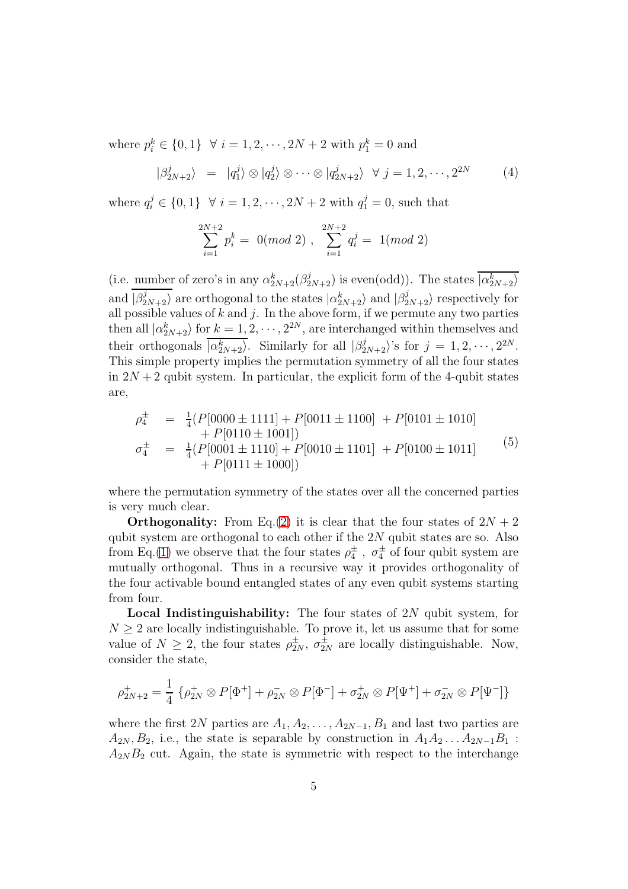where  $p_i^k \in \{0, 1\}$   $\forall i = 1, 2, \dots, 2N + 2$  with  $p_1^k = 0$  and

$$
|\beta_{2N+2}^j\rangle = |q_1^j\rangle \otimes |q_2^j\rangle \otimes \cdots \otimes |q_{2N+2}^j\rangle \quad \forall \ j = 1, 2, \cdots, 2^{2N} \tag{4}
$$

where  $q_i^j \in \{0, 1\}$   $\forall i = 1, 2, \dots, 2N + 2$  with  $q_1^j = 0$ , such that

$$
\sum_{i=1}^{2N+2} p_i^k = 0 \pmod{2}, \sum_{i=1}^{2N+2} q_i^j = 1 \pmod{2}
$$

(i.e. number of zero's in any  $\alpha_{2N+2}^k(\beta_{2N+2}^j)$  is even(odd)). The states  $\overline{|\alpha_{2N+2}^k\rangle}$ and  $|\beta_{2N+2}^j\rangle$  are orthogonal to the states  $|\alpha_{2N+2}^k\rangle$  and  $|\beta_{2N+2}^j\rangle$  respectively for all possible values of k and j. In the above form, if we permute any two parties then all  $|\alpha_{2N+2}^k\rangle$  for  $k = 1, 2, \dots, 2^{2N}$ , are interchanged within themselves and their orthogonals  $\overline{|\alpha_{2N+2}^k\rangle}$ . Similarly for all  $|\beta_{2N+2}^j\rangle$ 's for  $j = 1, 2, \dots, 2^{2N}$ . This simple property implies the permutation symmetry of all the four states in  $2N + 2$  qubit system. In particular, the explicit form of the 4-qubit states are,

$$
\rho_4^{\pm} = \frac{1}{4} (P[0000 \pm 1111] + P[0011 \pm 1100] + P[0101 \pm 1010] \n+ P[0110 \pm 1001]) \n\sigma_4^{\pm} = \frac{1}{4} (P[0001 \pm 1110] + P[0010 \pm 1101] + P[0100 \pm 1011] \n+ P[0111 \pm 1000])
$$
\n(5)

where the permutation symmetry of the states over all the concerned parties is very much clear.

**Orthogonality:** From Eq.[\(2\)](#page-3-0) it is clear that the four states of  $2N + 2$ qubit system are orthogonal to each other if the  $2N$  qubit states are so. Also from Eq.[\(1\)](#page-3-1) we observe that the four states  $\rho_4^{\pm}$ ,  $\sigma_4^{\pm}$  of four qubit system are mutually orthogonal. Thus in a recursive way it provides orthogonality of the four activable bound entangled states of any even qubit systems starting from four.

Local Indistinguishability: The four states of 2N qubit system, for  $N \geq 2$  are locally indistinguishable. To prove it, let us assume that for some value of  $N \geq 2$ , the four states  $\rho_{2N}^{\pm}, \sigma_{2N}^{\pm}$  are locally distinguishable. Now, consider the state,

$$
\rho_{2N+2}^+ = \frac{1}{4} \left\{ \rho_{2N}^+ \otimes P[\Phi^+] + \rho_{2N}^- \otimes P[\Phi^-] + \sigma_{2N}^+ \otimes P[\Psi^+] + \sigma_{2N}^- \otimes P[\Psi^-] \right\}
$$

where the first 2N parties are  $A_1, A_2, \ldots, A_{2N-1}, B_1$  and last two parties are  $A_{2N}, B_2$ , i.e., the state is separable by construction in  $A_1A_2 \ldots A_{2N-1}B_1$ :  $A_{2N}B_2$  cut. Again, the state is symmetric with respect to the interchange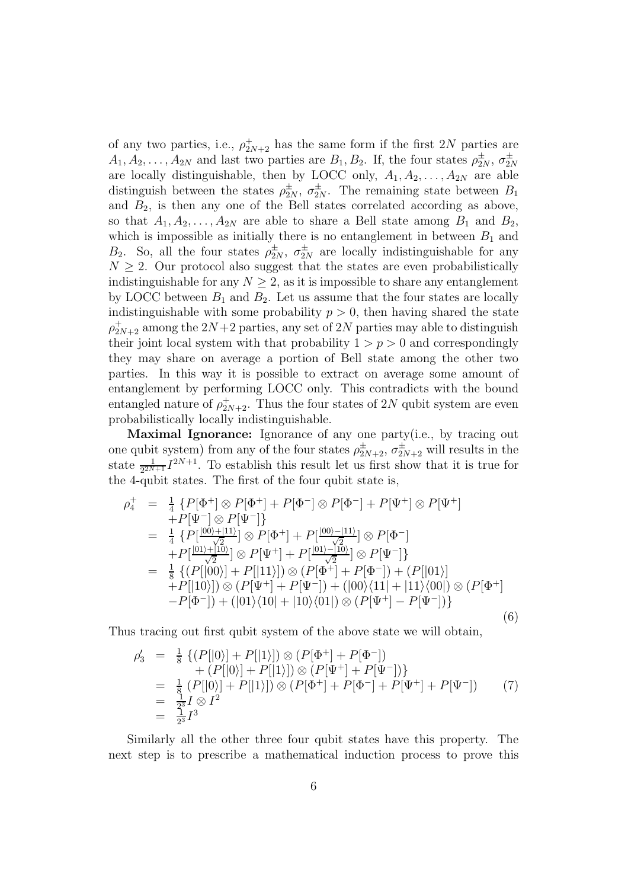of any two parties, i.e.,  $\rho_{2N+2}^{+}$  has the same form if the first  $2N$  parties are  $A_1, A_2, \ldots, A_{2N}$  and last two parties are  $B_1, B_2$ . If, the four states  $\rho_{2N}^{\pm}, \sigma_{2N}^{\pm}$ are locally distinguishable, then by LOCC only,  $A_1, A_2, \ldots, A_{2N}$  are able distinguish between the states  $\rho_{2N}^{\pm}, \sigma_{2N}^{\pm}$ . The remaining state between  $B_1$ and  $B_2$ , is then any one of the Bell states correlated according as above, so that  $A_1, A_2, \ldots, A_{2N}$  are able to share a Bell state among  $B_1$  and  $B_2$ , which is impossible as initially there is no entanglement in between  $B_1$  and  $B_2$ . So, all the four states  $\rho_{2N}^{\pm}, \sigma_{2N}^{\pm}$  are locally indistinguishable for any  $N \geq 2$ . Our protocol also suggest that the states are even probabilistically indistinguishable for any  $N \geq 2$ , as it is impossible to share any entanglement by LOCC between  $B_1$  and  $B_2$ . Let us assume that the four states are locally indistinguishable with some probability  $p > 0$ , then having shared the state  $\rho_{2N+2}^+$  among the  $2N+2$  parties, any set of  $2N$  parties may able to distinguish their joint local system with that probability  $1 > p > 0$  and correspondingly they may share on average a portion of Bell state among the other two parties. In this way it is possible to extract on average some amount of entanglement by performing LOCC only. This contradicts with the bound entangled nature of  $\rho_{2N+2}^+$ . Thus the four states of 2N qubit system are even probabilistically locally indistinguishable.

Maximal Ignorance: Ignorance of any one party(i.e., by tracing out one qubit system) from any of the four states  $\rho_{2N+2}^{\pm}, \sigma_{2N+2}^{\pm}$  will results in the state  $\frac{1}{2^{2N+1}}I^{2N+1}$ . To establish this result let us first show that it is true for the 4-qubit states. The first of the four qubit state is,

$$
\rho_{4}^{+} = \frac{1}{4} \{ P[\Phi^{+}] \otimes P[\Phi^{+}] + P[\Phi^{-}] \otimes P[\Phi^{-}] + P[\Psi^{+}] \otimes P[\Psi^{+}] \n+ P[\Psi^{-}] \otimes P[\Psi^{-}] \} \n= \frac{1}{4} \{ P[\frac{|00\rangle + |11\rangle}{\sqrt{2}}] \otimes P[\Phi^{+}] + P[\frac{|00\rangle - |11\rangle}{\sqrt{2}}] \otimes P[\Phi^{-}] \n+ P[\frac{|01\rangle + |10\rangle}{\sqrt{2}}] \otimes P[\Psi^{+}] + P[\frac{|01\rangle - |10\rangle}{\sqrt{2}}] \otimes P[\Psi^{-}] \} \n= \frac{1}{8} \{ (P[|00\rangle] + P[|11\rangle] ) \otimes (P[\Phi^{+}] + P[\Phi^{-}] ) + (P[|01\rangle] \n+ P[|10\rangle] ) \otimes (P[\Psi^{+}] + P[\Psi^{-}] ) + (|00\rangle\langle 11| + |11\rangle\langle 00|) \otimes (P[\Phi^{+}] \n- P[\Phi^{-}] ) + (|01\rangle\langle 10| + |10\rangle\langle 01|) \otimes (P[\Psi^{+}] - P[\Psi^{-}] ) \} \n(6)
$$

Thus tracing out first qubit system of the above state we will obtain,

$$
\rho_3' = \frac{1}{8} \left\{ (P[|0\rangle] + P[|1\rangle]) \otimes (P[\Phi^+] + P[\Phi^-]) \right.\n+ (P[|0\rangle] + P[|1\rangle]) \otimes (P[\Psi^+] + P[\Psi^-])\n\n= \frac{1}{8} (P[|0\rangle] + P[|1\rangle]) \otimes (P[\Phi^+] + P[\Phi^-] + P[\Psi^+] + P[\Psi^-])\n\n= \frac{1}{2^3} I \otimes I^2\n\n= \frac{1}{2^3} I^3
$$
\n(7)

Similarly all the other three four qubit states have this property. The next step is to prescribe a mathematical induction process to prove this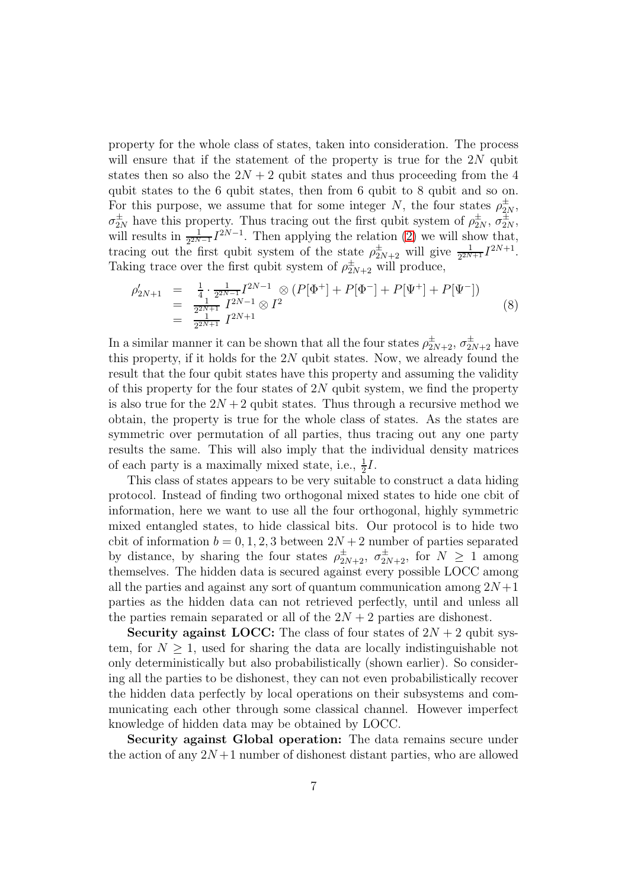property for the whole class of states, taken into consideration. The process will ensure that if the statement of the property is true for the  $2N$  qubit states then so also the  $2N + 2$  qubit states and thus proceeding from the 4 qubit states to the 6 qubit states, then from 6 qubit to 8 qubit and so on. For this purpose, we assume that for some integer N, the four states  $\rho_{2N}^{\pm}$ ,  $\sigma_{2N}^{\pm}$  have this property. Thus tracing out the first qubit system of  $\rho_{2N}^{\pm}$ ,  $\sigma_{2N}^{\pm}$ , will results in  $\frac{1}{2^{2N-1}}I^{2N-1}$ . Then applying the relation [\(2\)](#page-3-0) we will show that, tracing out the first qubit system of the state  $\rho_{2N+2}^{\pm}$  will give  $\frac{1}{2^{2N+1}}I^{2N+1}$ . Taking trace over the first qubit system of  $\rho_{2N+2}^{\pm}$  will produce,

$$
\begin{array}{rcl}\n\rho'_{2N+1} & = & \frac{1}{4} \cdot \frac{1}{2^{2N-1}} I^{2N-1} \otimes (P[\Phi^+] + P[\Phi^-] + P[\Psi^+] + P[\Psi^-]) \\
& = & \frac{1}{2^{2N+1}} I^{2N-1} \otimes I^2 \\
& = & \frac{1}{2^{2N+1}} I^{2N+1}\n\end{array} \tag{8}
$$

In a similar manner it can be shown that all the four states  $\rho_{2N+2}^{\pm}, \sigma_{2N+2}^{\pm}$  have this property, if it holds for the  $2N$  qubit states. Now, we already found the result that the four qubit states have this property and assuming the validity of this property for the four states of  $2N$  qubit system, we find the property is also true for the  $2N + 2$  qubit states. Thus through a recursive method we obtain, the property is true for the whole class of states. As the states are symmetric over permutation of all parties, thus tracing out any one party results the same. This will also imply that the individual density matrices of each party is a maximally mixed state, i.e.,  $\frac{1}{2}I$ .

This class of states appears to be very suitable to construct a data hiding protocol. Instead of finding two orthogonal mixed states to hide one cbit of information, here we want to use all the four orthogonal, highly symmetric mixed entangled states, to hide classical bits. Our protocol is to hide two cbit of information  $b = 0, 1, 2, 3$  between  $2N + 2$  number of parties separated by distance, by sharing the four states  $\rho_{2N+2}^{\pm}, \sigma_{2N+2}^{\pm}$ , for  $N \geq 1$  among themselves. The hidden data is secured against every possible LOCC among all the parties and against any sort of quantum communication among  $2N+1$ parties as the hidden data can not retrieved perfectly, until and unless all the parties remain separated or all of the  $2N + 2$  parties are dishonest.

Security against LOCC: The class of four states of  $2N + 2$  qubit system, for  $N \geq 1$ , used for sharing the data are locally indistinguishable not only deterministically but also probabilistically (shown earlier). So considering all the parties to be dishonest, they can not even probabilistically recover the hidden data perfectly by local operations on their subsystems and communicating each other through some classical channel. However imperfect knowledge of hidden data may be obtained by LOCC.

Security against Global operation: The data remains secure under the action of any  $2N+1$  number of dishonest distant parties, who are allowed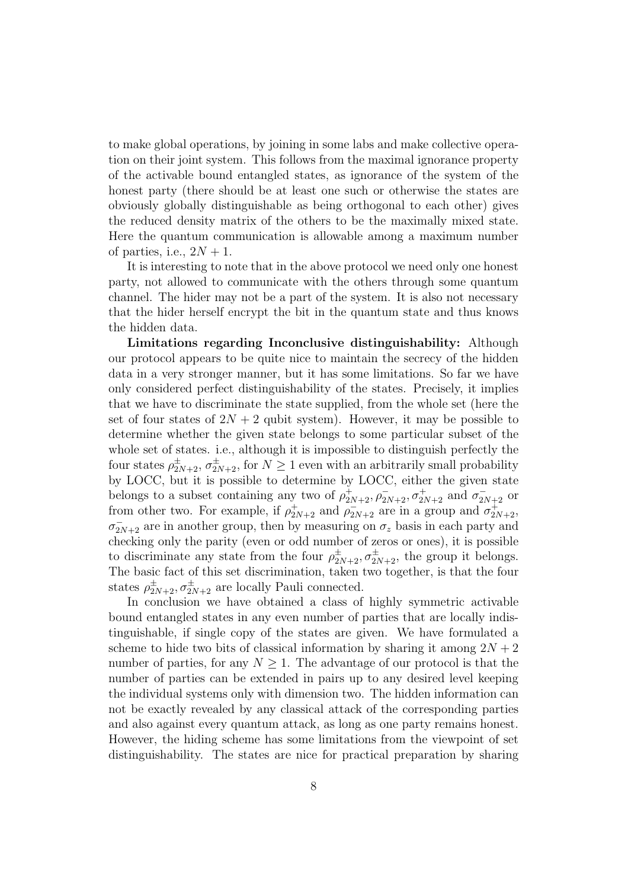to make global operations, by joining in some labs and make collective operation on their joint system. This follows from the maximal ignorance property of the activable bound entangled states, as ignorance of the system of the honest party (there should be at least one such or otherwise the states are obviously globally distinguishable as being orthogonal to each other) gives the reduced density matrix of the others to be the maximally mixed state. Here the quantum communication is allowable among a maximum number of parties, i.e.,  $2N + 1$ .

It is interesting to note that in the above protocol we need only one honest party, not allowed to communicate with the others through some quantum channel. The hider may not be a part of the system. It is also not necessary that the hider herself encrypt the bit in the quantum state and thus knows the hidden data.

Limitations regarding Inconclusive distinguishability: Although our protocol appears to be quite nice to maintain the secrecy of the hidden data in a very stronger manner, but it has some limitations. So far we have only considered perfect distinguishability of the states. Precisely, it implies that we have to discriminate the state supplied, from the whole set (here the set of four states of  $2N + 2$  qubit system). However, it may be possible to determine whether the given state belongs to some particular subset of the whole set of states. i.e., although it is impossible to distinguish perfectly the four states  $\rho_{2N+2}^{\pm}, \sigma_{2N+2}^{\pm}$ , for  $N \geq 1$  even with an arbitrarily small probability by LOCC, but it is possible to determine by LOCC, either the given state belongs to a subset containing any two of  $\rho_{2N+2}^+$ ,  $\rho_{2N+2}^-$ ,  $\sigma_{2N+2}^+$  and  $\sigma_{2N+2}^-$  or from other two. For example, if  $\rho_{2N+2}^+$  and  $\rho_{2N+2}^-$  are in a group and  $\sigma_{2N+2}^+$ ,  $\sigma_{2N+2}^-$  are in another group, then by measuring on  $\sigma_z$  basis in each party and checking only the parity (even or odd number of zeros or ones), it is possible to discriminate any state from the four  $\rho_{2N+2}^{\pm}, \sigma_{2N+2}^{\pm}$ , the group it belongs. The basic fact of this set discrimination, taken two together, is that the four states  $\rho_{2N+2}^{\pm}, \sigma_{2N+2}^{\pm}$  are locally Pauli connected.

In conclusion we have obtained a class of highly symmetric activable bound entangled states in any even number of parties that are locally indistinguishable, if single copy of the states are given. We have formulated a scheme to hide two bits of classical information by sharing it among  $2N + 2$ number of parties, for any  $N \geq 1$ . The advantage of our protocol is that the number of parties can be extended in pairs up to any desired level keeping the individual systems only with dimension two. The hidden information can not be exactly revealed by any classical attack of the corresponding parties and also against every quantum attack, as long as one party remains honest. However, the hiding scheme has some limitations from the viewpoint of set distinguishability. The states are nice for practical preparation by sharing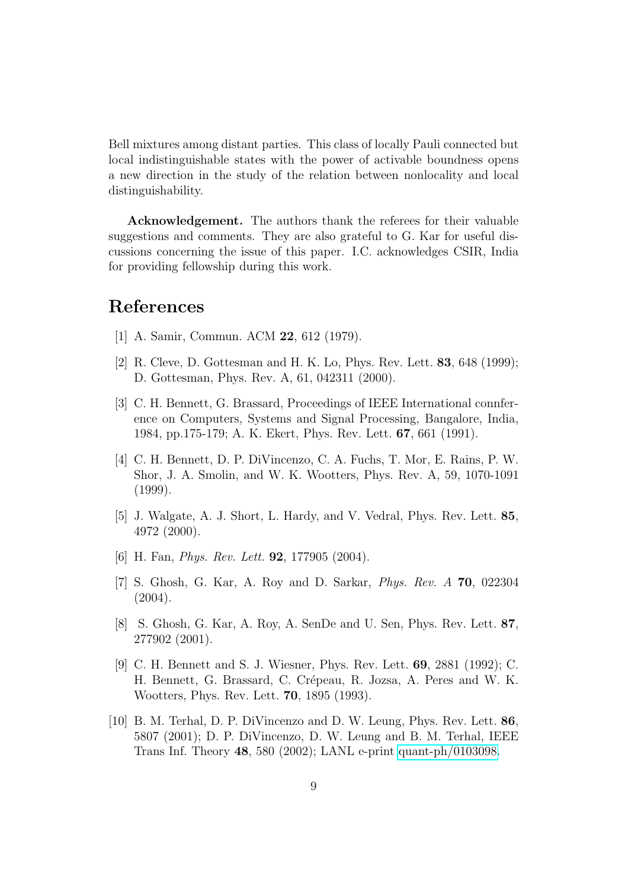Bell mixtures among distant parties. This class of locally Pauli connected but local indistinguishable states with the power of activable boundness opens a new direction in the study of the relation between nonlocality and local distinguishability.

Acknowledgement. The authors thank the referees for their valuable suggestions and comments. They are also grateful to G. Kar for useful discussions concerning the issue of this paper. I.C. acknowledges CSIR, India for providing fellowship during this work.

## <span id="page-8-0"></span>References

- <span id="page-8-1"></span>[1] A. Samir, Commun. ACM 22, 612 (1979).
- <span id="page-8-2"></span>[2] R. Cleve, D. Gottesman and H. K. Lo, Phys. Rev. Lett. 83, 648 (1999); D. Gottesman, Phys. Rev. A, 61, 042311 (2000).
- [3] C. H. Bennett, G. Brassard, Proceedings of IEEE International connference on Computers, Systems and Signal Processing, Bangalore, India, 1984, pp.175-179; A. K. Ekert, Phys. Rev. Lett. 67, 661 (1991).
- <span id="page-8-3"></span>[4] C. H. Bennett, D. P. DiVincenzo, C. A. Fuchs, T. Mor, E. Rains, P. W. Shor, J. A. Smolin, and W. K. Wootters, Phys. Rev. A, 59, 1070-1091 (1999).
- <span id="page-8-4"></span>[5] J. Walgate, A. J. Short, L. Hardy, and V. Vedral, Phys. Rev. Lett. 85, 4972 (2000).
- <span id="page-8-6"></span><span id="page-8-5"></span>[6] H. Fan, *Phys. Rev. Lett.* **92**, 177905 (2004).
- [7] S. Ghosh, G. Kar, A. Roy and D. Sarkar, Phys. Rev. A 70, 022304  $(2004).$
- <span id="page-8-7"></span>[8] S. Ghosh, G. Kar, A. Roy, A. SenDe and U. Sen, Phys. Rev. Lett. 87, 277902 (2001).
- <span id="page-8-8"></span>[9] C. H. Bennett and S. J. Wiesner, Phys. Rev. Lett. 69, 2881 (1992); C. H. Bennett, G. Brassard, C. Crépeau, R. Jozsa, A. Peres and W. K. Wootters, Phys. Rev. Lett. 70, 1895 (1993).
- <span id="page-8-9"></span>[10] B. M. Terhal, D. P. DiVincenzo and D. W. Leung, Phys. Rev. Lett. 86, 5807 (2001); D. P. DiVincenzo, D. W. Leung and B. M. Terhal, IEEE Trans Inf. Theory 48, 580 (2002); LANL e-print [quant-ph/0103098.](http://arxiv.org/abs/quant-ph/0103098)